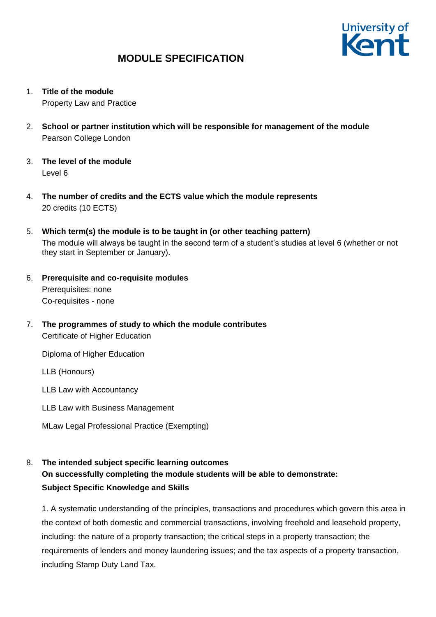

1. **Title of the module**

Property Law and Practice

- 2. **School or partner institution which will be responsible for management of the module** Pearson College London
- 3. **The level of the module**  Level 6
- 4. **The number of credits and the ECTS value which the module represents**  20 credits (10 ECTS)
- 5. **Which term(s) the module is to be taught in (or other teaching pattern)** The module will always be taught in the second term of a student's studies at level 6 (whether or not they start in September or January).
- 6. **Prerequisite and co-requisite modules** Prerequisites: none Co-requisites - none
- 7. **The programmes of study to which the module contributes** Certificate of Higher Education

Diploma of Higher Education

LLB (Honours)

LLB Law with Accountancy

- LLB Law with Business Management
- MLaw Legal Professional Practice (Exempting)

### 8. **The intended subject specific learning outcomes On successfully completing the module students will be able to demonstrate: Subject Specific Knowledge and Skills**

1. A systematic understanding of the principles, transactions and procedures which govern this area in the context of both domestic and commercial transactions, involving freehold and leasehold property, including: the nature of a property transaction; the critical steps in a property transaction; the requirements of lenders and money laundering issues; and the tax aspects of a property transaction, including Stamp Duty Land Tax.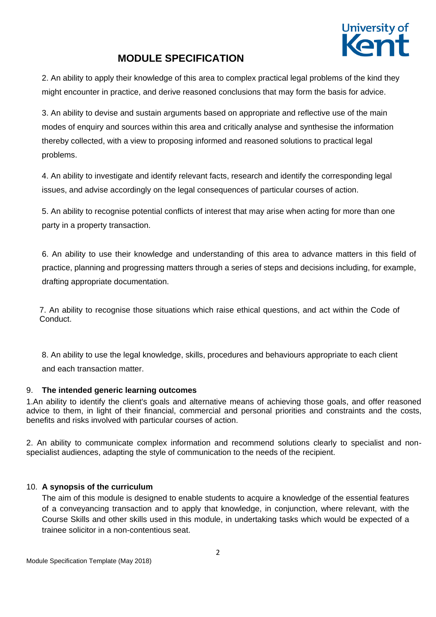

2. An ability to apply their knowledge of this area to complex practical legal problems of the kind they might encounter in practice, and derive reasoned conclusions that may form the basis for advice.

3. An ability to devise and sustain arguments based on appropriate and reflective use of the main modes of enquiry and sources within this area and critically analyse and synthesise the information thereby collected, with a view to proposing informed and reasoned solutions to practical legal problems.

4. An ability to investigate and identify relevant facts, research and identify the corresponding legal issues, and advise accordingly on the legal consequences of particular courses of action.

5. An ability to recognise potential conflicts of interest that may arise when acting for more than one party in a property transaction.

6. An ability to use their knowledge and understanding of this area to advance matters in this field of practice, planning and progressing matters through a series of steps and decisions including, for example, drafting appropriate documentation.

7. An ability to recognise those situations which raise ethical questions, and act within the Code of Conduct.

8. An ability to use the legal knowledge, skills, procedures and behaviours appropriate to each client and each transaction matter.

### 9. **The intended generic learning outcomes**

1.An ability to identify the client's goals and alternative means of achieving those goals, and offer reasoned advice to them, in light of their financial, commercial and personal priorities and constraints and the costs, benefits and risks involved with particular courses of action.

2. An ability to communicate complex information and recommend solutions clearly to specialist and nonspecialist audiences, adapting the style of communication to the needs of the recipient.

### 10. **A synopsis of the curriculum**

The aim of this module is designed to enable students to acquire a knowledge of the essential features of a conveyancing transaction and to apply that knowledge, in conjunction, where relevant, with the Course Skills and other skills used in this module, in undertaking tasks which would be expected of a trainee solicitor in a non-contentious seat.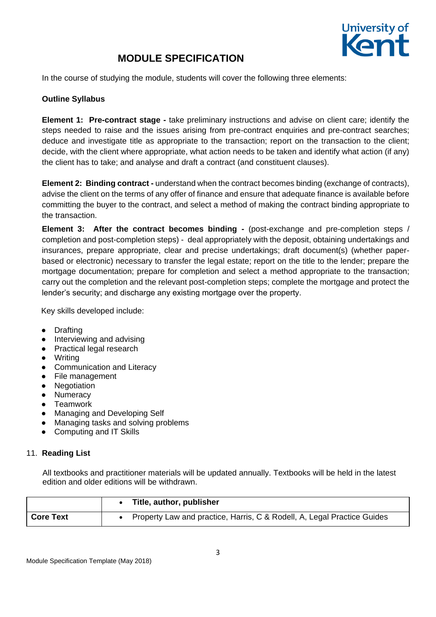

In the course of studying the module, students will cover the following three elements:

### **Outline Syllabus**

**Element 1: Pre-contract stage -** take preliminary instructions and advise on client care; identify the steps needed to raise and the issues arising from pre-contract enquiries and pre-contract searches; deduce and investigate title as appropriate to the transaction; report on the transaction to the client; decide, with the client where appropriate, what action needs to be taken and identify what action (if any) the client has to take; and analyse and draft a contract (and constituent clauses).

**Element 2: Binding contract -** understand when the contract becomes binding (exchange of contracts), advise the client on the terms of any offer of finance and ensure that adequate finance is available before committing the buyer to the contract, and select a method of making the contract binding appropriate to the transaction.

**Element 3: After the contract becomes binding -** (post-exchange and pre-completion steps / completion and post-completion steps) - deal appropriately with the deposit, obtaining undertakings and insurances, prepare appropriate, clear and precise undertakings; draft document(s) (whether paperbased or electronic) necessary to transfer the legal estate; report on the title to the lender; prepare the mortgage documentation; prepare for completion and select a method appropriate to the transaction; carry out the completion and the relevant post-completion steps; complete the mortgage and protect the lender's security; and discharge any existing mortgage over the property.

Key skills developed include:

- Drafting
- Interviewing and advising
- Practical legal research
- Writing
- Communication and Literacy
- File management
- Negotiation
- Numeracy
- Teamwork
- Managing and Developing Self
- Managing tasks and solving problems
- Computing and IT Skills

#### 11. **Reading List**

All textbooks and practitioner materials will be updated annually. Textbooks will be held in the latest edition and older editions will be withdrawn.

|           | Title, author, publisher                                                |  |  |  |  |  |
|-----------|-------------------------------------------------------------------------|--|--|--|--|--|
| Core Text | Property Law and practice, Harris, C & Rodell, A, Legal Practice Guides |  |  |  |  |  |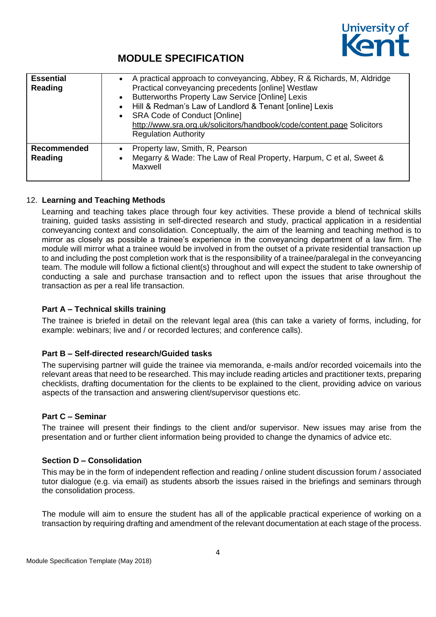

| <b>Essential</b><br>Reading   | • A practical approach to conveyancing, Abbey, R & Richards, M, Aldridge<br>Practical conveyancing precedents [online] Westlaw<br>Butterworths Property Law Service [Online] Lexis<br>$\bullet$<br>Hill & Redman's Law of Landlord & Tenant [online] Lexis<br>$\bullet$<br><b>SRA Code of Conduct [Online]</b><br>http://www.sra.org.uk/solicitors/handbook/code/content.page Solicitors<br><b>Regulation Authority</b> |
|-------------------------------|-------------------------------------------------------------------------------------------------------------------------------------------------------------------------------------------------------------------------------------------------------------------------------------------------------------------------------------------------------------------------------------------------------------------------|
| <b>Recommended</b><br>Reading | Property law, Smith, R, Pearson<br>$\bullet$<br>Megarry & Wade: The Law of Real Property, Harpum, C et al, Sweet &<br>Maxwell                                                                                                                                                                                                                                                                                           |

### 12. **Learning and Teaching Methods**

Learning and teaching takes place through four key activities. These provide a blend of technical skills training, guided tasks assisting in self-directed research and study, practical application in a residential conveyancing context and consolidation. Conceptually, the aim of the learning and teaching method is to mirror as closely as possible a trainee's experience in the conveyancing department of a law firm. The module will mirror what a trainee would be involved in from the outset of a private residential transaction up to and including the post completion work that is the responsibility of a trainee/paralegal in the conveyancing team. The module will follow a fictional client(s) throughout and will expect the student to take ownership of conducting a sale and purchase transaction and to reflect upon the issues that arise throughout the transaction as per a real life transaction.

### **Part A – Technical skills training**

The trainee is briefed in detail on the relevant legal area (this can take a variety of forms, including, for example: webinars; live and / or recorded lectures; and conference calls).

### **Part B – Self-directed research/Guided tasks**

The supervising partner will guide the trainee via memoranda, e-mails and/or recorded voicemails into the relevant areas that need to be researched. This may include reading articles and practitioner texts, preparing checklists, drafting documentation for the clients to be explained to the client, providing advice on various aspects of the transaction and answering client/supervisor questions etc.

### **Part C – Seminar**

The trainee will present their findings to the client and/or supervisor. New issues may arise from the presentation and or further client information being provided to change the dynamics of advice etc.

### **Section D – Consolidation**

This may be in the form of independent reflection and reading / online student discussion forum / associated tutor dialogue (e.g. via email) as students absorb the issues raised in the briefings and seminars through the consolidation process.

The module will aim to ensure the student has all of the applicable practical experience of working on a transaction by requiring drafting and amendment of the relevant documentation at each stage of the process.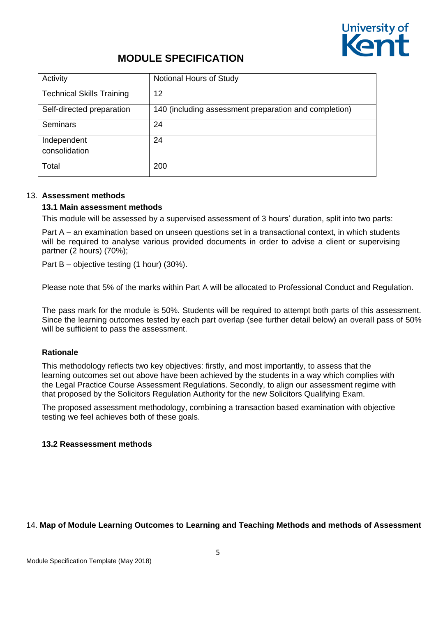

| Activity                         | Notional Hours of Study                               |
|----------------------------------|-------------------------------------------------------|
| <b>Technical Skills Training</b> | 12                                                    |
| Self-directed preparation        | 140 (including assessment preparation and completion) |
| <b>Seminars</b>                  | 24                                                    |
| Independent<br>consolidation     | 24                                                    |
| Total                            | 200                                                   |

#### 13. **Assessment methods**

#### **13.1 Main assessment methods**

This module will be assessed by a supervised assessment of 3 hours' duration, split into two parts:

Part A – an examination based on unseen questions set in a transactional context, in which students will be required to analyse various provided documents in order to advise a client or supervising partner (2 hours) (70%);

Part B – objective testing (1 hour) (30%).

Please note that 5% of the marks within Part A will be allocated to Professional Conduct and Regulation.

The pass mark for the module is 50%. Students will be required to attempt both parts of this assessment. Since the learning outcomes tested by each part overlap (see further detail below) an overall pass of 50% will be sufficient to pass the assessment.

### **Rationale**

This methodology reflects two key objectives: firstly, and most importantly, to assess that the learning outcomes set out above have been achieved by the students in a way which complies with the Legal Practice Course Assessment Regulations. Secondly, to align our assessment regime with that proposed by the Solicitors Regulation Authority for the new Solicitors Qualifying Exam.

The proposed assessment methodology, combining a transaction based examination with objective testing we feel achieves both of these goals.

#### **13.2 Reassessment methods**

### 14. **Map of Module Learning Outcomes to Learning and Teaching Methods and methods of Assessment**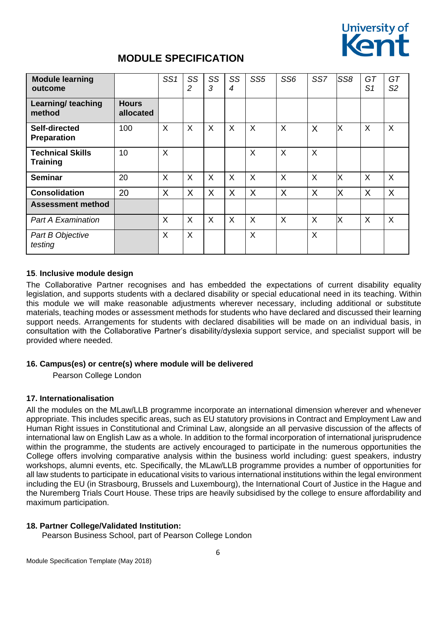

| <b>Module learning</b><br>outcome          |                           | SS <sub>1</sub> | SS<br>$\overline{c}$ | SS<br>3 | SS<br>4 | SS <sub>5</sub> | SS <sub>6</sub> | SS7     | SS <sub>8</sub> | GT<br>S <sub>1</sub> | GT<br>S <sub>2</sub> |
|--------------------------------------------|---------------------------|-----------------|----------------------|---------|---------|-----------------|-----------------|---------|-----------------|----------------------|----------------------|
| Learning/ teaching<br>method               | <b>Hours</b><br>allocated |                 |                      |         |         |                 |                 |         |                 |                      |                      |
| Self-directed<br><b>Preparation</b>        | 100                       | X               | X                    | X       | X       | X               | X               | X       | X               | X                    | $\sf X$              |
| <b>Technical Skills</b><br><b>Training</b> | 10                        | X               |                      |         |         | $\sf X$         | X               | X       |                 |                      |                      |
| <b>Seminar</b>                             | 20                        | X               | X                    | X       | X       | X               | X               | $\sf X$ | X               | X                    | X                    |
| <b>Consolidation</b>                       | 20                        | X               | X                    | X       | X       | X               | X               | X       | X               | X                    | X                    |
| <b>Assessment method</b>                   |                           |                 |                      |         |         |                 |                 |         |                 |                      |                      |
| <b>Part A Examination</b>                  |                           | X               | X                    | X       | X       | $\sf X$         | $\sf X$         | $\sf X$ | X               | X                    | $\sf X$              |
| Part B Objective<br>testing                |                           | X               | X                    |         |         | X               |                 | X       |                 |                      |                      |

### **15**. **Inclusive module design**

The Collaborative Partner recognises and has embedded the expectations of current disability equality legislation, and supports students with a declared disability or special educational need in its teaching. Within this module we will make reasonable adjustments wherever necessary, including additional or substitute materials, teaching modes or assessment methods for students who have declared and discussed their learning support needs. Arrangements for students with declared disabilities will be made on an individual basis, in consultation with the Collaborative Partner's disability/dyslexia support service, and specialist support will be provided where needed.

### **16. Campus(es) or centre(s) where module will be delivered**

Pearson College London

### **17. Internationalisation**

All the modules on the MLaw/LLB programme incorporate an international dimension wherever and whenever appropriate. This includes specific areas, such as EU statutory provisions in Contract and Employment Law and Human Right issues in Constitutional and Criminal Law, alongside an all pervasive discussion of the affects of international law on English Law as a whole. In addition to the formal incorporation of international jurisprudence within the programme, the students are actively encouraged to participate in the numerous opportunities the College offers involving comparative analysis within the business world including: guest speakers, industry workshops, alumni events, etc. Specifically, the MLaw/LLB programme provides a number of opportunities for all law students to participate in educational visits to various international institutions within the legal environment including the EU (in Strasbourg, Brussels and Luxembourg), the International Court of Justice in the Hague and the Nuremberg Trials Court House. These trips are heavily subsidised by the college to ensure affordability and maximum participation.

### **18. Partner College/Validated Institution:**

Pearson Business School, part of Pearson College London